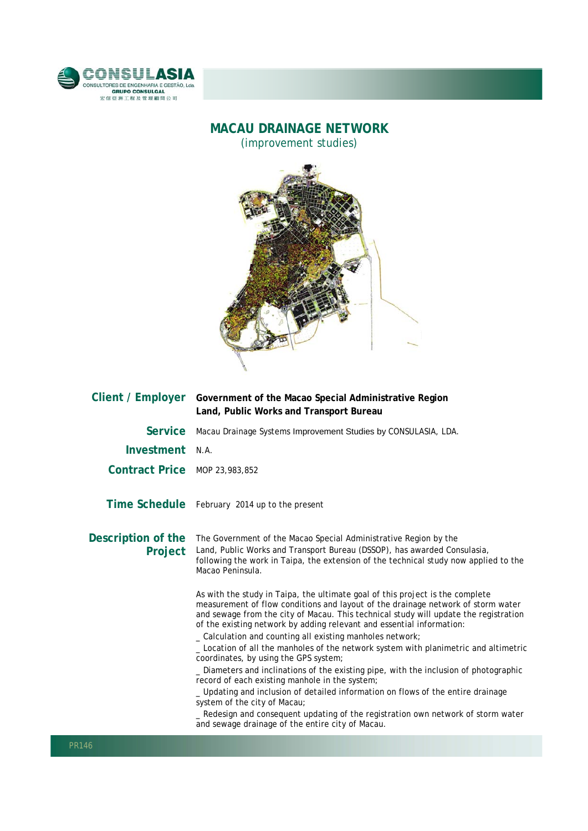

## **MACAU DRAINAGE NETWORK**

(improvement studies)



| Client / Employer             | Government of the Macao Special Administrative Region<br>Land, Public Works and Transport Bureau                                                                                                                                                                                                                                                                                                |
|-------------------------------|-------------------------------------------------------------------------------------------------------------------------------------------------------------------------------------------------------------------------------------------------------------------------------------------------------------------------------------------------------------------------------------------------|
| <b>Service</b>                | Macau Drainage Systems Improvement Studies by CONSULASIA, LDA.                                                                                                                                                                                                                                                                                                                                  |
| Investment N.A.               |                                                                                                                                                                                                                                                                                                                                                                                                 |
| Contract Price MOP 23,983,852 |                                                                                                                                                                                                                                                                                                                                                                                                 |
|                               | Time Schedule February 2014 up to the present                                                                                                                                                                                                                                                                                                                                                   |
| Description of the<br>Project | The Government of the Macao Special Administrative Region by the<br>Land, Public Works and Transport Bureau (DSSOP), has awarded Consulasia,<br>following the work in Taipa, the extension of the technical study now applied to the<br>Macao Peninsula.                                                                                                                                        |
|                               | As with the study in Taipa, the ultimate goal of this project is the complete<br>measurement of flow conditions and layout of the drainage network of storm water<br>and sewage from the city of Macau. This technical study will update the registration<br>of the existing network by adding relevant and essential information:<br>_ Calculation and counting all existing manholes network; |
|                               | _ Location of all the manholes of the network system with planimetric and altimetric<br>coordinates, by using the GPS system;                                                                                                                                                                                                                                                                   |
|                               | _ Diameters and inclinations of the existing pipe, with the inclusion of photographic<br>record of each existing manhole in the system;                                                                                                                                                                                                                                                         |
|                               | _Updating and inclusion of detailed information on flows of the entire drainage<br>system of the city of Macau;                                                                                                                                                                                                                                                                                 |
|                               | _ Redesign and consequent updating of the registration own network of storm water<br>and sewage drainage of the entire city of Macau.                                                                                                                                                                                                                                                           |

l